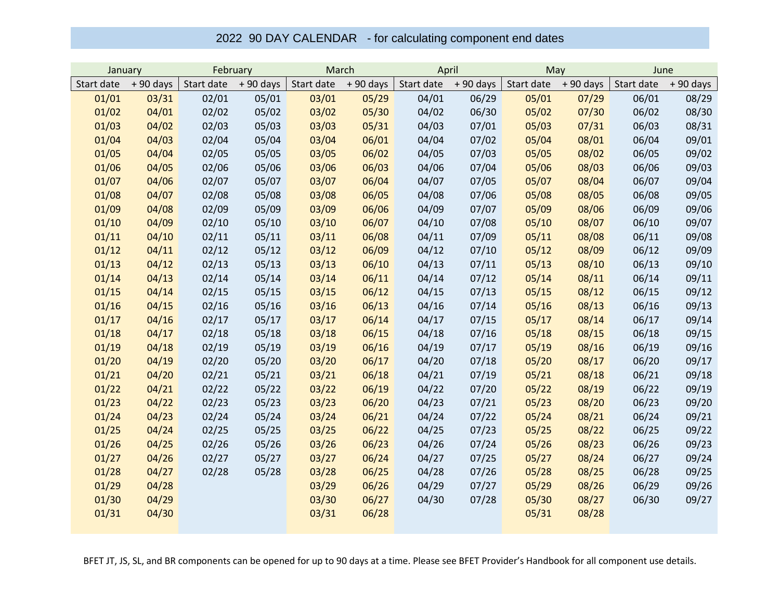## 2022 90 DAY CALENDAR - for calculating component end dates

| January    |            | February   |            | March      |            | April      |            | May        |            | June       |            |
|------------|------------|------------|------------|------------|------------|------------|------------|------------|------------|------------|------------|
| Start date | $+90$ days | Start date | $+90$ days | Start date | $+90$ days | Start date | $+90$ days | Start date | $+90$ days | Start date | $+90$ days |
| 01/01      | 03/31      | 02/01      | 05/01      | 03/01      | 05/29      | 04/01      | 06/29      | 05/01      | 07/29      | 06/01      | 08/29      |
| 01/02      | 04/01      | 02/02      | 05/02      | 03/02      | 05/30      | 04/02      | 06/30      | 05/02      | 07/30      | 06/02      | 08/30      |
| 01/03      | 04/02      | 02/03      | 05/03      | 03/03      | 05/31      | 04/03      | 07/01      | 05/03      | 07/31      | 06/03      | 08/31      |
| 01/04      | 04/03      | 02/04      | 05/04      | 03/04      | 06/01      | 04/04      | 07/02      | 05/04      | 08/01      | 06/04      | 09/01      |
| 01/05      | 04/04      | 02/05      | 05/05      | 03/05      | 06/02      | 04/05      | 07/03      | 05/05      | 08/02      | 06/05      | 09/02      |
| 01/06      | 04/05      | 02/06      | 05/06      | 03/06      | 06/03      | 04/06      | 07/04      | 05/06      | 08/03      | 06/06      | 09/03      |
| 01/07      | 04/06      | 02/07      | 05/07      | 03/07      | 06/04      | 04/07      | 07/05      | 05/07      | 08/04      | 06/07      | 09/04      |
| 01/08      | 04/07      | 02/08      | 05/08      | 03/08      | 06/05      | 04/08      | 07/06      | 05/08      | 08/05      | 06/08      | 09/05      |
| 01/09      | 04/08      | 02/09      | 05/09      | 03/09      | 06/06      | 04/09      | 07/07      | 05/09      | 08/06      | 06/09      | 09/06      |
| 01/10      | 04/09      | 02/10      | 05/10      | 03/10      | 06/07      | 04/10      | 07/08      | 05/10      | 08/07      | 06/10      | 09/07      |
| 01/11      | 04/10      | 02/11      | 05/11      | 03/11      | 06/08      | 04/11      | 07/09      | 05/11      | 08/08      | 06/11      | 09/08      |
| 01/12      | 04/11      | 02/12      | 05/12      | 03/12      | 06/09      | 04/12      | 07/10      | 05/12      | 08/09      | 06/12      | 09/09      |
| 01/13      | 04/12      | 02/13      | 05/13      | 03/13      | 06/10      | 04/13      | 07/11      | 05/13      | 08/10      | 06/13      | 09/10      |
| 01/14      | 04/13      | 02/14      | 05/14      | 03/14      | 06/11      | 04/14      | 07/12      | 05/14      | 08/11      | 06/14      | 09/11      |
| 01/15      | 04/14      | 02/15      | 05/15      | 03/15      | 06/12      | 04/15      | 07/13      | 05/15      | 08/12      | 06/15      | 09/12      |
| 01/16      | 04/15      | 02/16      | 05/16      | 03/16      | 06/13      | 04/16      | 07/14      | 05/16      | 08/13      | 06/16      | 09/13      |
| 01/17      | 04/16      | 02/17      | 05/17      | 03/17      | 06/14      | 04/17      | 07/15      | 05/17      | 08/14      | 06/17      | 09/14      |
| 01/18      | 04/17      | 02/18      | 05/18      | 03/18      | 06/15      | 04/18      | 07/16      | 05/18      | 08/15      | 06/18      | 09/15      |
| 01/19      | 04/18      | 02/19      | 05/19      | 03/19      | 06/16      | 04/19      | 07/17      | 05/19      | 08/16      | 06/19      | 09/16      |
| 01/20      | 04/19      | 02/20      | 05/20      | 03/20      | 06/17      | 04/20      | 07/18      | 05/20      | 08/17      | 06/20      | 09/17      |
| 01/21      | 04/20      | 02/21      | 05/21      | 03/21      | 06/18      | 04/21      | 07/19      | 05/21      | 08/18      | 06/21      | 09/18      |
| 01/22      | 04/21      | 02/22      | 05/22      | 03/22      | 06/19      | 04/22      | 07/20      | 05/22      | 08/19      | 06/22      | 09/19      |
| 01/23      | 04/22      | 02/23      | 05/23      | 03/23      | 06/20      | 04/23      | 07/21      | 05/23      | 08/20      | 06/23      | 09/20      |
| 01/24      | 04/23      | 02/24      | 05/24      | 03/24      | 06/21      | 04/24      | 07/22      | 05/24      | 08/21      | 06/24      | 09/21      |
| 01/25      | 04/24      | 02/25      | 05/25      | 03/25      | 06/22      | 04/25      | 07/23      | 05/25      | 08/22      | 06/25      | 09/22      |
| 01/26      | 04/25      | 02/26      | 05/26      | 03/26      | 06/23      | 04/26      | 07/24      | 05/26      | 08/23      | 06/26      | 09/23      |
| 01/27      | 04/26      | 02/27      | 05/27      | 03/27      | 06/24      | 04/27      | 07/25      | 05/27      | 08/24      | 06/27      | 09/24      |
| 01/28      | 04/27      | 02/28      | 05/28      | 03/28      | 06/25      | 04/28      | 07/26      | 05/28      | 08/25      | 06/28      | 09/25      |
| 01/29      | 04/28      |            |            | 03/29      | 06/26      | 04/29      | 07/27      | 05/29      | 08/26      | 06/29      | 09/26      |
| 01/30      | 04/29      |            |            | 03/30      | 06/27      | 04/30      | 07/28      | 05/30      | 08/27      | 06/30      | 09/27      |
| 01/31      | 04/30      |            |            | 03/31      | 06/28      |            |            | 05/31      | 08/28      |            |            |

BFET JT, JS, SL, and BR components can be opened for up to 90 days at a time. Please see BFET Provider's Handbook for all component use details.